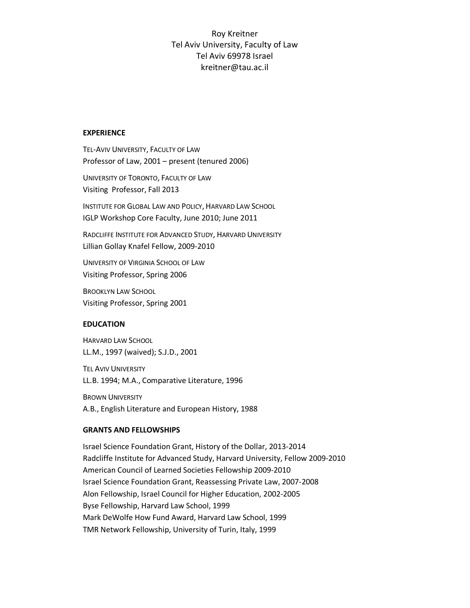# Roy Kreitner Tel Aviv University, Faculty of Law Tel Aviv 69978 Israel kreitner@tau.ac.il

#### **EXPERIENCE**

TEL-AVIV UNIVERSITY, FACULTY OF LAW Professor of Law, 2001 – present (tenured 2006)

UNIVERSITY OF TORONTO, FACULTY OF LAW Visiting Professor, Fall 2013

INSTITUTE FOR GLOBAL LAW AND POLICY, HARVARD LAW SCHOOL IGLP Workshop Core Faculty, June 2010; June 2011

RADCLIFFE INSTITUTE FOR ADVANCED STUDY, HARVARD UNIVERSITY Lillian Gollay Knafel Fellow, 2009-2010

UNIVERSITY OF VIRGINIA SCHOOL OF LAW Visiting Professor, Spring 2006

BROOKLYN LAW SCHOOL Visiting Professor, Spring 2001

### **EDUCATION**

HARVARD LAW SCHOOL LL.M., 1997 (waived); S.J.D., 2001

TEL AVIV UNIVERSITY LL.B. 1994; M.A., Comparative Literature, 1996

BROWN UNIVERSITY A.B., English Literature and European History, 1988

### **GRANTS AND FELLOWSHIPS**

Israel Science Foundation Grant, History of the Dollar, 2013-2014 Radcliffe Institute for Advanced Study, Harvard University, Fellow 2009-2010 American Council of Learned Societies Fellowship 2009-2010 Israel Science Foundation Grant, Reassessing Private Law, 2007-2008 Alon Fellowship, Israel Council for Higher Education, 2002-2005 Byse Fellowship, Harvard Law School, 1999 Mark DeWolfe How Fund Award, Harvard Law School, 1999 TMR Network Fellowship, University of Turin, Italy, 1999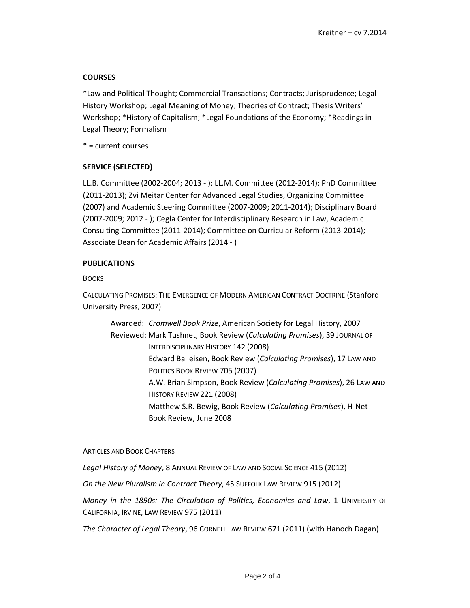# **COURSES**

\*Law and Political Thought; Commercial Transactions; Contracts; Jurisprudence; Legal History Workshop; Legal Meaning of Money; Theories of Contract; Thesis Writers' Workshop; \*History of Capitalism; \*Legal Foundations of the Economy; \*Readings in Legal Theory; Formalism

\* = current courses

# **SERVICE (SELECTED)**

LL.B. Committee (2002-2004; 2013 - ); LL.M. Committee (2012-2014); PhD Committee (2011-2013); Zvi Meitar Center for Advanced Legal Studies, Organizing Committee (2007) and Academic Steering Committee (2007-2009; 2011-2014); Disciplinary Board (2007-2009; 2012 - ); Cegla Center for Interdisciplinary Research in Law, Academic Consulting Committee (2011-2014); Committee on Curricular Reform (2013-2014); Associate Dean for Academic Affairs (2014 - )

# **PUBLICATIONS**

# **BOOKS**

CALCULATING PROMISES: THE EMERGENCE OF MODERN AMERICAN CONTRACT DOCTRINE (Stanford University Press, 2007)

Awarded: *Cromwell Book Prize*, American Society for Legal History, 2007 Reviewed: Mark Tushnet, Book Review (*Calculating Promises*), 39 JOURNAL OF INTERDISCIPLINARY HISTORY 142 (2008) Edward Balleisen, Book Review (*Calculating Promises*), 17 LAW AND POLITICS BOOK REVIEW 705 (2007) A.W. Brian Simpson, Book Review (*Calculating Promises*), 26 LAW AND HISTORY REVIEW 221 (2008) Matthew S.R. Bewig, Book Review (*Calculating Promises*), H-Net Book Review, June 2008

### ARTICLES AND BOOK CHAPTERS

*Legal History of Money*, 8 ANNUAL REVIEW OF LAW AND SOCIAL SCIENCE 415 (2012)

*On the New Pluralism in Contract Theory*, 45 SUFFOLK LAW REVIEW 915 (2012)

*Money in the 1890s: The Circulation of Politics, Economics and Law*, 1 UNIVERSITY OF CALIFORNIA, IRVINE, LAW REVIEW 975 (2011)

*The Character of Legal Theory*, 96 CORNELL LAW REVIEW 671 (2011) (with Hanoch Dagan)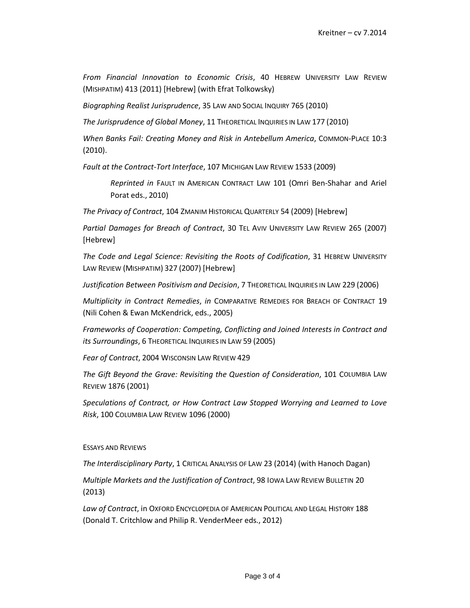*From Financial Innovation to Economic Crisis*, 40 HEBREW UNIVERSITY LAW REVIEW (MISHPATIM) 413 (2011) [Hebrew] (with Efrat Tolkowsky)

*Biographing Realist Jurisprudence*, 35 LAW AND SOCIAL INQUIRY 765 (2010)

*The Jurisprudence of Global Money*, 11 THEORETICAL INQUIRIES IN LAW 177 (2010)

*When Banks Fail: Creating Money and Risk in Antebellum America*, COMMON-PLACE 10:3 (2010).

*Fault at the Contract-Tort Interface*, 107 MICHIGAN LAW REVIEW 1533 (2009)

*Reprinted in* FAULT IN AMERICAN CONTRACT LAW 101 (Omri Ben-Shahar and Ariel Porat eds., 2010)

*The Privacy of Contract*, 104 ZMANIM HISTORICAL QUARTERLY 54 (2009) [Hebrew]

*Partial Damages for Breach of Contract*, 30 TEL AVIV UNIVERSITY LAW REVIEW 265 (2007) [Hebrew]

*The Code and Legal Science: Revisiting the Roots of Codification*, 31 HEBREW UNIVERSITY LAW REVIEW (MISHPATIM) 327 (2007) [Hebrew]

*Justification Between Positivism and Decision*, 7 THEORETICAL INQUIRIES IN LAW 229 (2006)

*Multiplicity in Contract Remedies*, *in* COMPARATIVE REMEDIES FOR BREACH OF CONTRACT 19 (Nili Cohen & Ewan McKendrick, eds., 2005)

*Frameworks of Cooperation: Competing, Conflicting and Joined Interests in Contract and its Surroundings*, 6 THEORETICAL INQUIRIES IN LAW 59 (2005)

*Fear of Contract*, 2004 WISCONSIN LAW REVIEW 429

*The Gift Beyond the Grave: Revisiting the Question of Consideration*, 101 COLUMBIA LAW REVIEW 1876 (2001)

*Speculations of Contract, or How Contract Law Stopped Worrying and Learned to Love Risk*, 100 COLUMBIA LAW REVIEW 1096 (2000)

#### ESSAYS AND REVIEWS

*The Interdisciplinary Party*, 1 CRITICAL ANALYSIS OF LAW 23 (2014) (with Hanoch Dagan)

*Multiple Markets and the Justification of Contract*, 98 IOWA LAW REVIEW BULLETIN 20 (2013)

Law of Contract, in OXFORD ENCYCLOPEDIA OF AMERICAN POLITICAL AND LEGAL HISTORY 188 (Donald T. Critchlow and Philip R. VenderMeer eds., 2012)